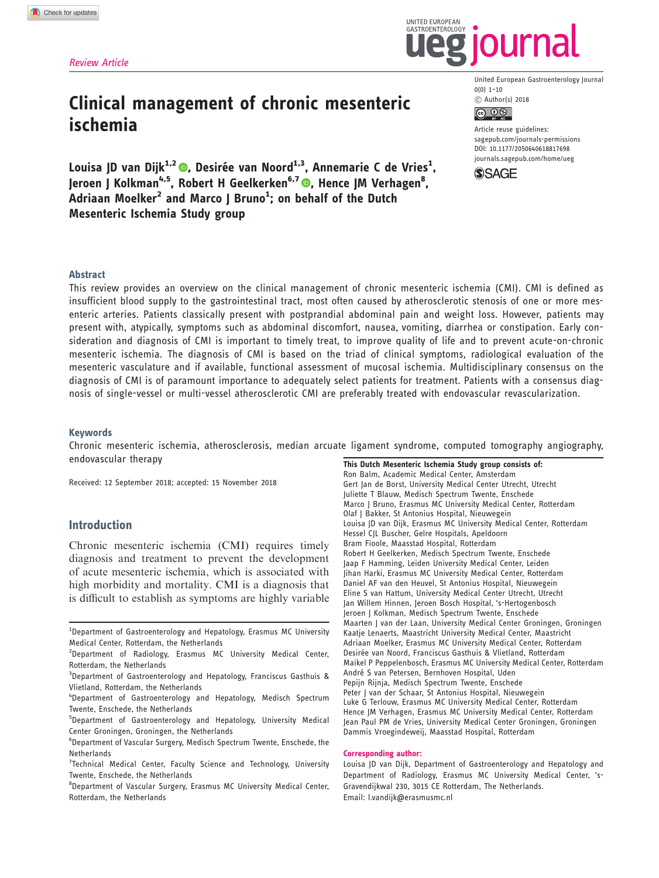# Clinical management of chronic mesenteric ischemia

Louisa JD van Dijk<sup>1[,](http://orcid.org/0000-0002-6507-5666)2</sup> ®, Desirée van Noord<sup>1,3</sup>, Annemarie C de Vries<sup>1</sup>, Jeroen J Kolkman<sup>4[,](http://orcid.org/0000-0003-4640-8725)5</sup>, Robert H Geelkerken<sup>6,7</sup> ©, Hence JM Verhagen<sup>8</sup>,  $\overline{\mathsf{Adriaan}}$  Moelker $^2$  and Marco J Bruno $^1$ ; on behalf of the Dutch Mesenteric Ischemia Study group



 $0(0)$  1-10 C Author(s) 2018



**UNITED FUROPEAN** GASTROENTEROLOGY

> Article reuse guidelines: [sagepub.com/journals-permissions](https://doi.org/10.1177/2050640618817698) DOI: 10.1177/2050640618817698 <journals.sagepub.com/home/ueg>



## Abstract

This review provides an overview on the clinical management of chronic mesenteric ischemia (CMI). CMI is defined as insufficient blood supply to the gastrointestinal tract, most often caused by atherosclerotic stenosis of one or more mesenteric arteries. Patients classically present with postprandial abdominal pain and weight loss. However, patients may present with, atypically, symptoms such as abdominal discomfort, nausea, vomiting, diarrhea or constipation. Early consideration and diagnosis of CMI is important to timely treat, to improve quality of life and to prevent acute-on-chronic mesenteric ischemia. The diagnosis of CMI is based on the triad of clinical symptoms, radiological evaluation of the mesenteric vasculature and if available, functional assessment of mucosal ischemia. Multidisciplinary consensus on the diagnosis of CMI is of paramount importance to adequately select patients for treatment. Patients with a consensus diagnosis of single-vessel or multi-vessel atherosclerotic CMI are preferably treated with endovascular revascularization.

#### Keywords

Chronic mesenteric ischemia, atherosclerosis, median arcuate ligament syndrome, computed tomography angiography, endovascular therapy

Received: 12 September 2018; accepted: 15 November 2018

# Introduction

Chronic mesenteric ischemia (CMI) requires timely diagnosis and treatment to prevent the development of acute mesenteric ischemia, which is associated with high morbidity and mortality. CMI is a diagnosis that is difficult to establish as symptoms are highly variable This Dutch Mesenteric Ischemia Study group consists of: Ron Balm, Academic Medical Center, Amsterdam Gert Jan de Borst, University Medical Center Utrecht, Utrecht Juliette T Blauw, Medisch Spectrum Twente, Enschede Marco J Bruno, Erasmus MC University Medical Center, Rotterdam Olaf J Bakker, St Antonius Hospital, Nieuwegein Louisa JD van Dijk, Erasmus MC University Medical Center, Rotterdam Hessel CJL Buscher, Gelre Hospitals, Apeldoorn Bram Fioole, Maasstad Hospital, Rotterdam Robert H Geelkerken, Medisch Spectrum Twente, Enschede Jaap F Hamming, Leiden University Medical Center, Leiden Jihan Harki, Erasmus MC University Medical Center, Rotterdam Daniel AF van den Heuvel, St Antonius Hospital, Nieuwegein Eline S van Hattum, University Medical Center Utrecht, Utrecht Jan Willem Hinnen, Jeroen Bosch Hospital, 's-Hertogenbosch Jeroen J Kolkman, Medisch Spectrum Twente, Enschede Maarten J van der Laan, University Medical Center Groningen, Groningen Kaatje Lenaerts, Maastricht University Medical Center, Maastricht Adriaan Moelker, Erasmus MC University Medical Center, Rotterdam Desirée van Noord, Franciscus Gasthuis & Vlietland, Rotterdam Maikel P Peppelenbosch, Erasmus MC University Medical Center, Rotterdam André S van Petersen, Bernhoven Hospital, Uden Pepijn Rijnja, Medisch Spectrum Twente, Enschede Peter J van der Schaar, St Antonius Hospital, Nieuwegein Luke G Terlouw, Erasmus MC University Medical Center, Rotterdam Hence JM Verhagen, Erasmus MC University Medical Center, Rotterdam Jean Paul PM de Vries, University Medical Center Groningen, Groningen Dammis Vroegindeweij, Maasstad Hospital, Rotterdam

#### Corresponding author:

Louisa JD van Dijk, Department of Gastroenterology and Hepatology and Department of Radiology, Erasmus MC University Medical Center, 's-Gravendijkwal 230, 3015 CE Rotterdam, The Netherlands. Email: l.vandijk@erasmusmc.nl

<sup>&</sup>lt;sup>1</sup>Department of Gastroenterology and Hepatology, Erasmus MC University Medical Center, Rotterdam, the Netherlands

<sup>&</sup>lt;sup>2</sup>Department of Radiology, Erasmus MC University Medical Center, Rotterdam, the Netherlands

<sup>&</sup>lt;sup>3</sup>Department of Gastroenterology and Hepatology, Franciscus Gasthuis & Vlietland, Rotterdam, the Netherlands

<sup>4</sup> Department of Gastroenterology and Hepatology, Medisch Spectrum Twente, Enschede, the Netherlands

<sup>5</sup> Department of Gastroenterology and Hepatology, University Medical Center Groningen, Groningen, the Netherlands

<sup>6</sup> Department of Vascular Surgery, Medisch Spectrum Twente, Enschede, the **Netherlands** 

<sup>&</sup>lt;sup>7</sup> Technical Medical Center, Faculty Science and Technology, University Twente, Enschede, the Netherlands

<sup>&</sup>lt;sup>8</sup>Department of Vascular Surgery, Erasmus MC University Medical Center, Rotterdam, the Netherlands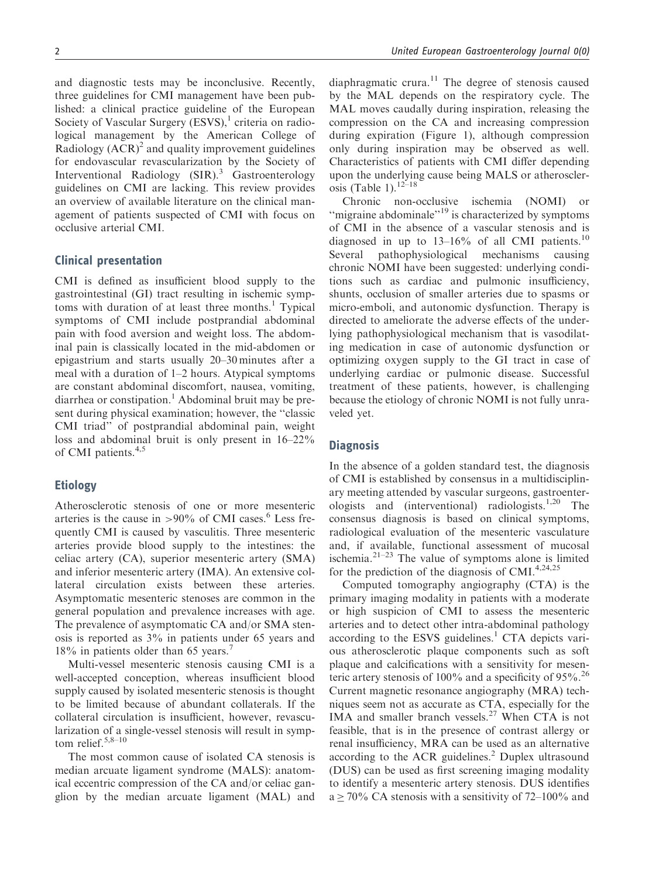and diagnostic tests may be inconclusive. Recently, three guidelines for CMI management have been published: a clinical practice guideline of the European Society of Vascular Surgery  $(ESVS)$ ,<sup>1</sup> criteria on radiological management by the American College of Radiology  $(ACR)^2$  and quality improvement guidelines for endovascular revascularization by the Society of Interventional Radiology (SIR).<sup>3</sup> Gastroenterology guidelines on CMI are lacking. This review provides an overview of available literature on the clinical management of patients suspected of CMI with focus on occlusive arterial CMI.

# Clinical presentation

CMI is defined as insufficient blood supply to the gastrointestinal (GI) tract resulting in ischemic symptoms with duration of at least three months.<sup>1</sup> Typical symptoms of CMI include postprandial abdominal pain with food aversion and weight loss. The abdominal pain is classically located in the mid-abdomen or epigastrium and starts usually 20–30 minutes after a meal with a duration of 1–2 hours. Atypical symptoms are constant abdominal discomfort, nausea, vomiting,  $diarhea$  or constipation.<sup>1</sup> Abdominal bruit may be present during physical examination; however, the ''classic CMI triad'' of postprandial abdominal pain, weight loss and abdominal bruit is only present in 16–22% of CMI patients.<sup>4,5</sup>

# Etiology

Atherosclerotic stenosis of one or more mesenteric arteries is the cause in  $>90\%$  of CMI cases.<sup>6</sup> Less frequently CMI is caused by vasculitis. Three mesenteric arteries provide blood supply to the intestines: the celiac artery (CA), superior mesenteric artery (SMA) and inferior mesenteric artery (IMA). An extensive collateral circulation exists between these arteries. Asymptomatic mesenteric stenoses are common in the general population and prevalence increases with age. The prevalence of asymptomatic CA and/or SMA stenosis is reported as 3% in patients under 65 years and 18% in patients older than 65 years.<sup>7</sup>

Multi-vessel mesenteric stenosis causing CMI is a well-accepted conception, whereas insufficient blood supply caused by isolated mesenteric stenosis is thought to be limited because of abundant collaterals. If the collateral circulation is insufficient, however, revascularization of a single-vessel stenosis will result in symptom relief. $5,8-10$ 

The most common cause of isolated CA stenosis is median arcuate ligament syndrome (MALS): anatomical eccentric compression of the CA and/or celiac ganglion by the median arcuate ligament (MAL) and diaphragmatic crura. $11$  The degree of stenosis caused by the MAL depends on the respiratory cycle. The MAL moves caudally during inspiration, releasing the compression on the CA and increasing compression during expiration (Figure 1), although compression only during inspiration may be observed as well. Characteristics of patients with CMI differ depending upon the underlying cause being MALS or atherosclerosis (Table 1). $12-18$ 

Chronic non-occlusive ischemia (NOMI) or "migraine abdominale"<sup>19</sup> is characterized by symptoms of CMI in the absence of a vascular stenosis and is diagnosed in up to  $13-16%$  of all CMI patients.<sup>10</sup> Several pathophysiological mechanisms causing chronic NOMI have been suggested: underlying conditions such as cardiac and pulmonic insufficiency, shunts, occlusion of smaller arteries due to spasms or micro-emboli, and autonomic dysfunction. Therapy is directed to ameliorate the adverse effects of the underlying pathophysiological mechanism that is vasodilating medication in case of autonomic dysfunction or optimizing oxygen supply to the GI tract in case of underlying cardiac or pulmonic disease. Successful treatment of these patients, however, is challenging because the etiology of chronic NOMI is not fully unraveled yet.

## **Diagnosis**

In the absence of a golden standard test, the diagnosis of CMI is established by consensus in a multidisciplinary meeting attended by vascular surgeons, gastroenterologists and (interventional) radiologists.<sup>1,20</sup> The consensus diagnosis is based on clinical symptoms, radiological evaluation of the mesenteric vasculature and, if available, functional assessment of mucosal ischemia. $2^{1-23}$  The value of symptoms alone is limited for the prediction of the diagnosis of CMI. $4,24,25$ 

Computed tomography angiography (CTA) is the primary imaging modality in patients with a moderate or high suspicion of CMI to assess the mesenteric arteries and to detect other intra-abdominal pathology according to the ESVS guidelines.<sup>1</sup> CTA depicts various atherosclerotic plaque components such as soft plaque and calcifications with a sensitivity for mesenteric artery stenosis of 100% and a specificity of  $95\%$ .<sup>26</sup> Current magnetic resonance angiography (MRA) techniques seem not as accurate as CTA, especially for the IMA and smaller branch vessels.<sup>27</sup> When CTA is not feasible, that is in the presence of contrast allergy or renal insufficiency, MRA can be used as an alternative according to the ACR guidelines. $^{2}$  Duplex ultrasound (DUS) can be used as first screening imaging modality to identify a mesenteric artery stenosis. DUS identifies  $a \ge 70\%$  CA stenosis with a sensitivity of 72–100% and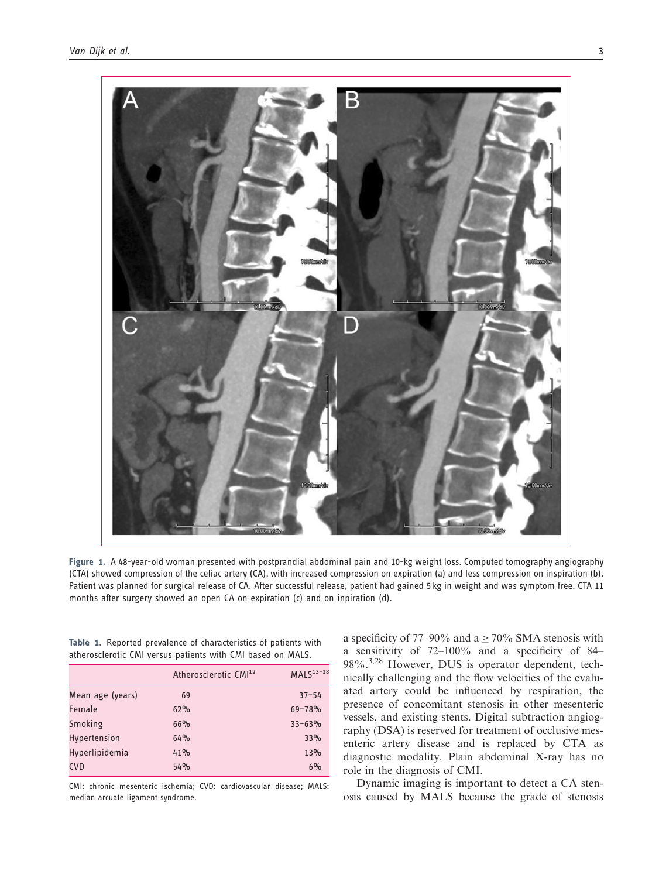

Figure 1. A 48-year-old woman presented with postprandial abdominal pain and 10-kg weight loss. Computed tomography angiography (CTA) showed compression of the celiac artery (CA), with increased compression on expiration (a) and less compression on inspiration (b). Patient was planned for surgical release of CA. After successful release, patient had gained 5 kg in weight and was symptom free. CTA 11 months after surgery showed an open CA on expiration (c) and on inpiration (d).

|  | Table 1. Reported prevalence of characteristics of patients with |  |  |  |  |  |
|--|------------------------------------------------------------------|--|--|--|--|--|
|  | atherosclerotic CMI versus patients with CMI based on MALS.      |  |  |  |  |  |

|                       | Atherosclerotic CMI <sup>12</sup> | $MALS13-18$ |
|-----------------------|-----------------------------------|-------------|
| Mean age (years)      | 69                                | $37 - 54$   |
| Female                | 62%                               | $69 - 78%$  |
| Smoking               | 66%                               | $33 - 63%$  |
| Hypertension          | 64%                               | 33%         |
| <b>Hyperlipidemia</b> | 41%                               | 13%         |
| <b>CVD</b>            | 54%                               | $6\%$       |

CMI: chronic mesenteric ischemia; CVD: cardiovascular disease; MALS: median arcuate ligament syndrome.

a specificity of 77–90% and  $a \ge 70\%$  SMA stenosis with a sensitivity of 72–100% and a specificity of 84– 98%.<sup>3,28</sup> However, DUS is operator dependent, technically challenging and the flow velocities of the evaluated artery could be influenced by respiration, the presence of concomitant stenosis in other mesenteric vessels, and existing stents. Digital subtraction angiography (DSA) is reserved for treatment of occlusive mesenteric artery disease and is replaced by CTA as diagnostic modality. Plain abdominal X-ray has no role in the diagnosis of CMI.

Dynamic imaging is important to detect a CA stenosis caused by MALS because the grade of stenosis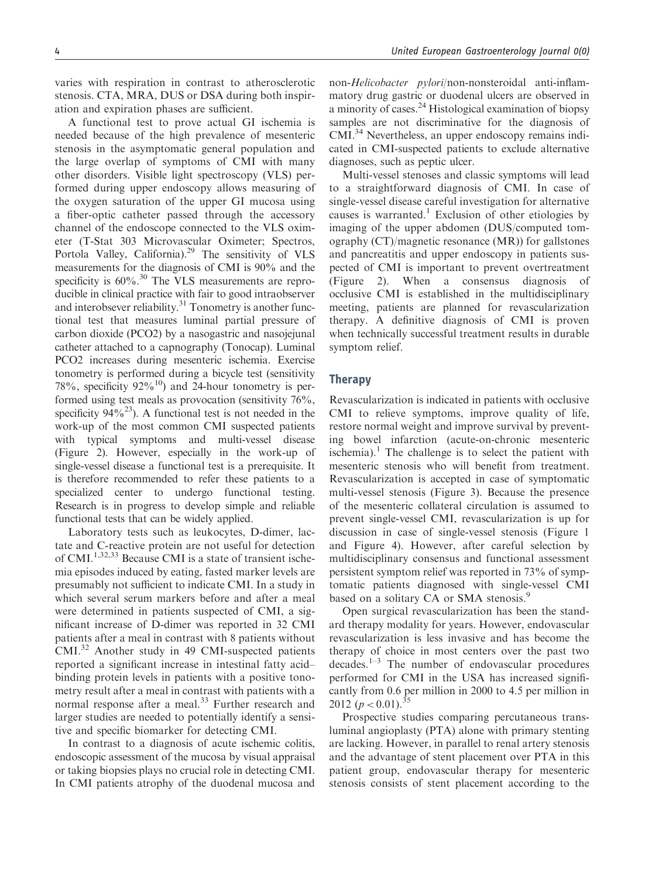varies with respiration in contrast to atherosclerotic stenosis. CTA, MRA, DUS or DSA during both inspiration and expiration phases are sufficient.

A functional test to prove actual GI ischemia is needed because of the high prevalence of mesenteric stenosis in the asymptomatic general population and the large overlap of symptoms of CMI with many other disorders. Visible light spectroscopy (VLS) performed during upper endoscopy allows measuring of the oxygen saturation of the upper GI mucosa using a fiber-optic catheter passed through the accessory channel of the endoscope connected to the VLS oximeter (T-Stat 303 Microvascular Oximeter; Spectros, Portola Valley, California).<sup>29</sup> The sensitivity of VLS measurements for the diagnosis of CMI is 90% and the specificity is  $60\%$ .<sup>30</sup> The VLS measurements are reproducible in clinical practice with fair to good intraobserver and interobsever reliability.<sup>31</sup> Tonometry is another functional test that measures luminal partial pressure of carbon dioxide (PCO2) by a nasogastric and nasojejunal catheter attached to a capnography (Tonocap). Luminal PCO2 increases during mesenteric ischemia. Exercise tonometry is performed during a bicycle test (sensitivity 78%, specificity  $92\%$ <sup>10</sup>) and 24-hour tonometry is performed using test meals as provocation (sensitivity 76%, specificity  $94\%^{23}$ ). A functional test is not needed in the work-up of the most common CMI suspected patients with typical symptoms and multi-vessel disease (Figure 2). However, especially in the work-up of single-vessel disease a functional test is a prerequisite. It is therefore recommended to refer these patients to a specialized center to undergo functional testing. Research is in progress to develop simple and reliable functional tests that can be widely applied.

Laboratory tests such as leukocytes, D-dimer, lactate and C-reactive protein are not useful for detection of CMI.1,32,33 Because CMI is a state of transient ischemia episodes induced by eating, fasted marker levels are presumably not sufficient to indicate CMI. In a study in which several serum markers before and after a meal were determined in patients suspected of CMI, a significant increase of D-dimer was reported in 32 CMI patients after a meal in contrast with 8 patients without CMI.32 Another study in 49 CMI-suspected patients reported a significant increase in intestinal fatty acid– binding protein levels in patients with a positive tonometry result after a meal in contrast with patients with a normal response after a meal.<sup>33</sup> Further research and larger studies are needed to potentially identify a sensitive and specific biomarker for detecting CMI.

In contrast to a diagnosis of acute ischemic colitis, endoscopic assessment of the mucosa by visual appraisal or taking biopsies plays no crucial role in detecting CMI. In CMI patients atrophy of the duodenal mucosa and non-Helicobacter pylori/non-nonsteroidal anti-inflammatory drug gastric or duodenal ulcers are observed in a minority of cases.<sup>24</sup> Histological examination of biopsy samples are not discriminative for the diagnosis of CMI.34 Nevertheless, an upper endoscopy remains indicated in CMI-suspected patients to exclude alternative diagnoses, such as peptic ulcer.

Multi-vessel stenoses and classic symptoms will lead to a straightforward diagnosis of CMI. In case of single-vessel disease careful investigation for alternative causes is warranted.<sup>1</sup> Exclusion of other etiologies by imaging of the upper abdomen (DUS/computed tomography (CT)/magnetic resonance (MR)) for gallstones and pancreatitis and upper endoscopy in patients suspected of CMI is important to prevent overtreatment (Figure 2). When a consensus diagnosis of occlusive CMI is established in the multidisciplinary meeting, patients are planned for revascularization therapy. A definitive diagnosis of CMI is proven when technically successful treatment results in durable symptom relief.

## **Therapy**

Revascularization is indicated in patients with occlusive CMI to relieve symptoms, improve quality of life, restore normal weight and improve survival by preventing bowel infarction (acute-on-chronic mesenteric ischemia).<sup>1</sup> The challenge is to select the patient with mesenteric stenosis who will benefit from treatment. Revascularization is accepted in case of symptomatic multi-vessel stenosis (Figure 3). Because the presence of the mesenteric collateral circulation is assumed to prevent single-vessel CMI, revascularization is up for discussion in case of single-vessel stenosis (Figure 1 and Figure 4). However, after careful selection by multidisciplinary consensus and functional assessment persistent symptom relief was reported in 73% of symptomatic patients diagnosed with single-vessel CMI based on a solitary CA or SMA stenosis.<sup>9</sup>

Open surgical revascularization has been the standard therapy modality for years. However, endovascular revascularization is less invasive and has become the therapy of choice in most centers over the past two decades.1–3 The number of endovascular procedures performed for CMI in the USA has increased significantly from 0.6 per million in 2000 to 4.5 per million in 2012  $(p < 0.01).$ <sup>35</sup>

Prospective studies comparing percutaneous transluminal angioplasty (PTA) alone with primary stenting are lacking. However, in parallel to renal artery stenosis and the advantage of stent placement over PTA in this patient group, endovascular therapy for mesenteric stenosis consists of stent placement according to the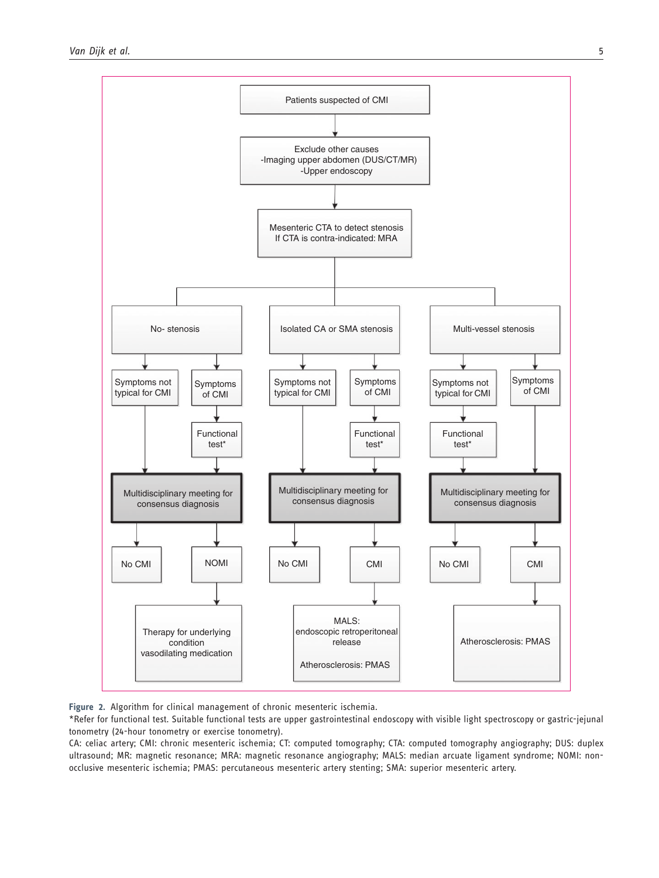

Figure 2. Algorithm for clinical management of chronic mesenteric ischemia.

\*Refer for functional test. Suitable functional tests are upper gastrointestinal endoscopy with visible light spectroscopy or gastric-jejunal tonometry (24-hour tonometry or exercise tonometry).

CA: celiac artery; CMI: chronic mesenteric ischemia; CT: computed tomography; CTA: computed tomography angiography; DUS: duplex ultrasound; MR: magnetic resonance; MRA: magnetic resonance angiography; MALS: median arcuate ligament syndrome; NOMI: nonocclusive mesenteric ischemia; PMAS: percutaneous mesenteric artery stenting; SMA: superior mesenteric artery.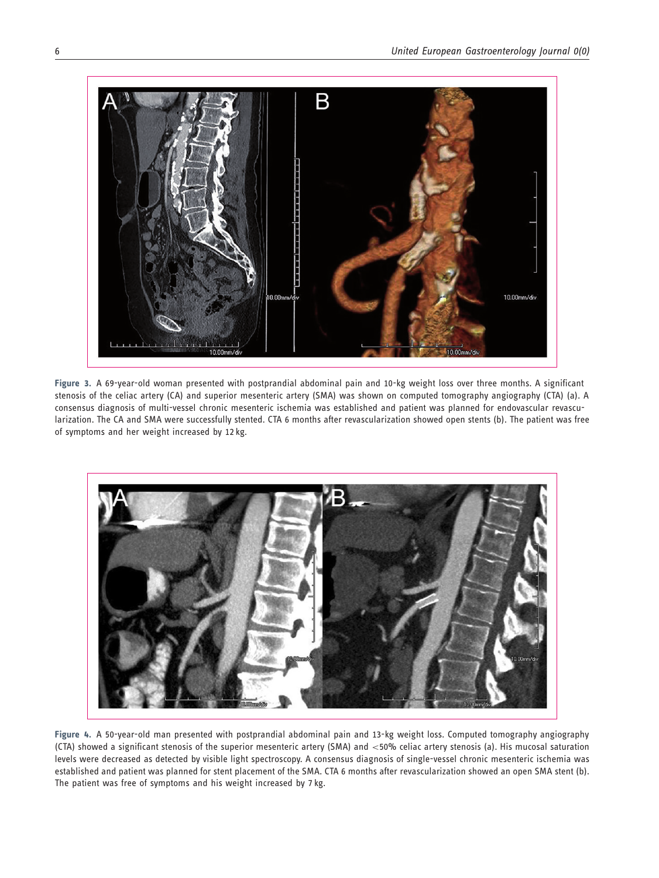

Figure 3. A 69-year-old woman presented with postprandial abdominal pain and 10-kg weight loss over three months. A significant stenosis of the celiac artery (CA) and superior mesenteric artery (SMA) was shown on computed tomography angiography (CTA) (a). A consensus diagnosis of multi-vessel chronic mesenteric ischemia was established and patient was planned for endovascular revascularization. The CA and SMA were successfully stented. CTA 6 months after revascularization showed open stents (b). The patient was free of symptoms and her weight increased by 12 kg.



Figure 4. A 50-year-old man presented with postprandial abdominal pain and 13-kg weight loss. Computed tomography angiography (CTA) showed a significant stenosis of the superior mesenteric artery (SMA) and <50% celiac artery stenosis (a). His mucosal saturation levels were decreased as detected by visible light spectroscopy. A consensus diagnosis of single-vessel chronic mesenteric ischemia was established and patient was planned for stent placement of the SMA. CTA 6 months after revascularization showed an open SMA stent (b). The patient was free of symptoms and his weight increased by 7 kg.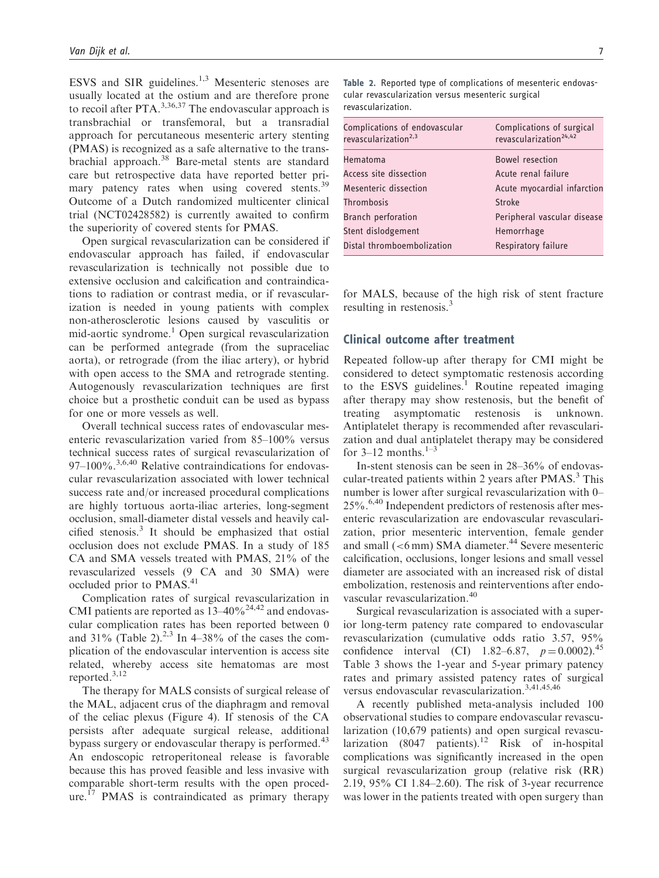ESVS and SIR guidelines.<sup>1,3</sup> Mesenteric stenoses are usually located at the ostium and are therefore prone to recoil after PTA.<sup>3,36,37</sup> The endovascular approach is transbrachial or transfemoral, but a transradial approach for percutaneous mesenteric artery stenting (PMAS) is recognized as a safe alternative to the transbrachial approach.<sup>38</sup> Bare-metal stents are standard care but retrospective data have reported better primary patency rates when using covered stents.<sup>39</sup> Outcome of a Dutch randomized multicenter clinical trial (NCT02428582) is currently awaited to confirm the superiority of covered stents for PMAS.

Open surgical revascularization can be considered if endovascular approach has failed, if endovascular revascularization is technically not possible due to extensive occlusion and calcification and contraindications to radiation or contrast media, or if revascularization is needed in young patients with complex non-atherosclerotic lesions caused by vasculitis or mid-aortic syndrome.<sup>1</sup> Open surgical revascularization can be performed antegrade (from the supraceliac aorta), or retrograde (from the iliac artery), or hybrid with open access to the SMA and retrograde stenting. Autogenously revascularization techniques are first choice but a prosthetic conduit can be used as bypass for one or more vessels as well.

Overall technical success rates of endovascular mesenteric revascularization varied from 85–100% versus technical success rates of surgical revascularization of  $97-100\%$ .<sup>3,6,40</sup> Relative contraindications for endovascular revascularization associated with lower technical success rate and/or increased procedural complications are highly tortuous aorta-iliac arteries, long-segment occlusion, small-diameter distal vessels and heavily calcified stenosis. $3$  It should be emphasized that ostial occlusion does not exclude PMAS. In a study of 185 CA and SMA vessels treated with PMAS, 21% of the revascularized vessels (9 CA and 30 SMA) were occluded prior to PMAS.<sup>41</sup>

Complication rates of surgical revascularization in CMI patients are reported as  $13-40\%^{24,42}$  and endovascular complication rates has been reported between 0 and  $31\%$  (Table 2).<sup>2,3</sup> In 4–38% of the cases the complication of the endovascular intervention is access site related, whereby access site hematomas are most reported.3,12

The therapy for MALS consists of surgical release of the MAL, adjacent crus of the diaphragm and removal of the celiac plexus (Figure 4). If stenosis of the CA persists after adequate surgical release, additional bypass surgery or endovascular therapy is performed.<sup>43</sup> An endoscopic retroperitoneal release is favorable because this has proved feasible and less invasive with comparable short-term results with the open procedure.<sup> $17$ </sup> PMAS is contraindicated as primary therapy

| Table 2. Reported type of complications of mesenteric endovas- |
|----------------------------------------------------------------|
| cular revascularization versus mesenteric surgical             |
| revascularization.                                             |

| Complications of endovascular<br>revascularization <sup>2,3</sup> | Complications of surgical<br>revascularization <sup>24,42</sup> |
|-------------------------------------------------------------------|-----------------------------------------------------------------|
| Hematoma                                                          | Bowel resection                                                 |
| Access site dissection                                            | Acute renal failure                                             |
| Mesenteric dissection                                             | Acute myocardial infarction                                     |
| Thrombosis                                                        | Stroke                                                          |
| <b>Branch perforation</b>                                         | Peripheral vascular disease                                     |
| Stent dislodgement                                                | Hemorrhage                                                      |
| Distal thromboembolization                                        | Respiratory failure                                             |
|                                                                   |                                                                 |

for MALS, because of the high risk of stent fracture resulting in restenosis.<sup>3</sup>

# Clinical outcome after treatment

Repeated follow-up after therapy for CMI might be considered to detect symptomatic restenosis according to the ESVS guidelines.<sup>1</sup> Routine repeated imaging after therapy may show restenosis, but the benefit of treating asymptomatic restenosis is unknown. Antiplatelet therapy is recommended after revascularization and dual antiplatelet therapy may be considered for 3–12 months. $1-3$ 

In-stent stenosis can be seen in 28–36% of endovascular-treated patients within 2 years after PMAS.<sup>3</sup> This number is lower after surgical revascularization with 0– 25%.6,40 Independent predictors of restenosis after mesenteric revascularization are endovascular revascularization, prior mesenteric intervention, female gender and small  $(<6$  mm) SMA diameter.<sup>44</sup> Severe mesenteric calcification, occlusions, longer lesions and small vessel diameter are associated with an increased risk of distal embolization, restenosis and reinterventions after endovascular revascularization.<sup>40</sup>

Surgical revascularization is associated with a superior long-term patency rate compared to endovascular revascularization (cumulative odds ratio 3.57, 95% confidence interval (CI) 1.82–6.87,  $p = 0.0002$ .<sup>45</sup> Table 3 shows the 1-year and 5-year primary patency rates and primary assisted patency rates of surgical versus endovascular revascularization.<sup>3,41,45,46</sup>

A recently published meta-analysis included 100 observational studies to compare endovascular revascularization (10,679 patients) and open surgical revascularization  $(8047 \text{ patients})$ .<sup>12</sup> Risk of in-hospital complications was significantly increased in the open surgical revascularization group (relative risk (RR) 2.19, 95% CI 1.84–2.60). The risk of 3-year recurrence was lower in the patients treated with open surgery than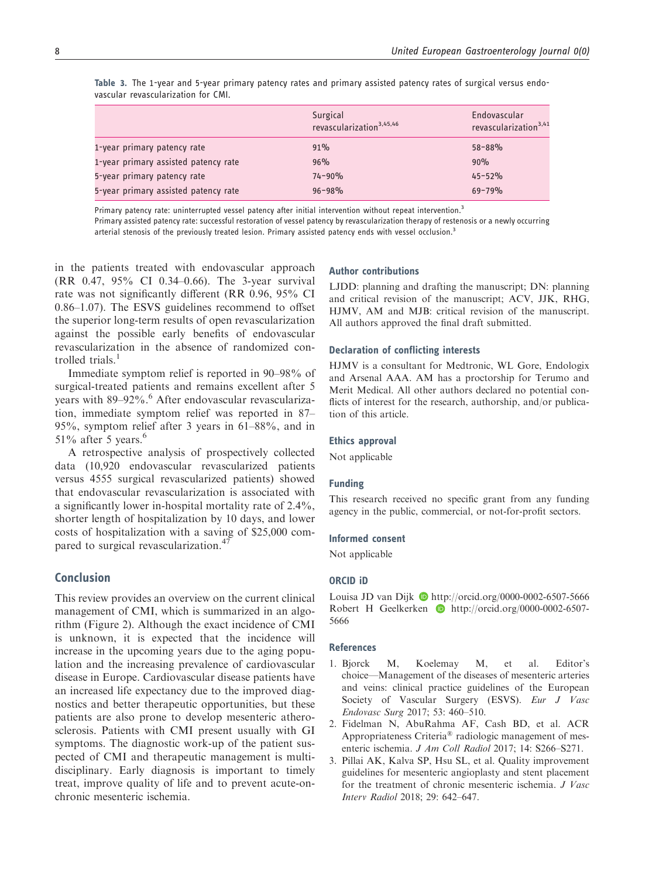|                                      | Surgical<br>revascularization <sup>3,45,46</sup> | Endovascular<br>revascularization <sup>3,41</sup> |
|--------------------------------------|--------------------------------------------------|---------------------------------------------------|
| 1-year primary patency rate          | 91%                                              | $58 - 88%$                                        |
| 1-year primary assisted patency rate | 96%                                              | 90%                                               |
| 5-year primary patency rate          | $74 - 90%$                                       | $45 - 52%$                                        |
| 5-year primary assisted patency rate | $96 - 98%$                                       | $69 - 79%$                                        |

Table 3. The 1-year and 5-year primary patency rates and primary assisted patency rates of surgical versus endovascular revascularization for CMI.

Primary patency rate: uninterrupted vessel patency after initial intervention without repeat intervention.<sup>3</sup>

Primary assisted patency rate: successful restoration of vessel patency by revascularization therapy of restenosis or a newly occurring arterial stenosis of the previously treated lesion. Primary assisted patency ends with vessel occlusion.<sup>3</sup>

in the patients treated with endovascular approach (RR 0.47, 95% CI 0.34–0.66). The 3-year survival rate was not significantly different (RR 0.96, 95% CI 0.86–1.07). The ESVS guidelines recommend to offset the superior long-term results of open revascularization against the possible early benefits of endovascular revascularization in the absence of randomized controlled trials.<sup>1</sup>

Immediate symptom relief is reported in 90–98% of surgical-treated patients and remains excellent after 5 years with 89–92%.<sup>6</sup> After endovascular revascularization, immediate symptom relief was reported in 87– 95%, symptom relief after 3 years in 61–88%, and in 51% after 5 years. $6$ 

A retrospective analysis of prospectively collected data (10,920 endovascular revascularized patients versus 4555 surgical revascularized patients) showed that endovascular revascularization is associated with a significantly lower in-hospital mortality rate of 2.4%, shorter length of hospitalization by 10 days, and lower costs of hospitalization with a saving of \$25,000 compared to surgical revascularization.<sup>47</sup>

# Conclusion

This review provides an overview on the current clinical management of CMI, which is summarized in an algorithm (Figure 2). Although the exact incidence of CMI is unknown, it is expected that the incidence will increase in the upcoming years due to the aging population and the increasing prevalence of cardiovascular disease in Europe. Cardiovascular disease patients have an increased life expectancy due to the improved diagnostics and better therapeutic opportunities, but these patients are also prone to develop mesenteric atherosclerosis. Patients with CMI present usually with GI symptoms. The diagnostic work-up of the patient suspected of CMI and therapeutic management is multidisciplinary. Early diagnosis is important to timely treat, improve quality of life and to prevent acute-onchronic mesenteric ischemia.

#### Author contributions

LJDD: planning and drafting the manuscript; DN: planning and critical revision of the manuscript; ACV, JJK, RHG, HJMV, AM and MJB: critical revision of the manuscript. All authors approved the final draft submitted.

#### Declaration of conflicting interests

HJMV is a consultant for Medtronic, WL Gore, Endologix and Arsenal AAA. AM has a proctorship for Terumo and Merit Medical. All other authors declared no potential conflicts of interest for the research, authorship, and/or publication of this article.

## Ethics approval

Not applicable

#### Funding

This research received no specific grant from any funding agency in the public, commercial, or not-for-profit sectors.

#### Informed consent

Not applicable

## ORCID iD

Louisa JD van Dijk  $\bullet$  <http://orcid.org/0000-0002-6507-5666> Robert H Geelkerken **[http://orcid.org/0000-0002-6507-](http://orcid.org/0000-0002-6507-5666)** [5666](http://orcid.org/0000-0002-6507-5666)

## **References**

- 1. Bjorck M, Koelemay M, et al. Editor's choice—Management of the diseases of mesenteric arteries and veins: clinical practice guidelines of the European Society of Vascular Surgery (ESVS). Eur J Vasc Endovasc Surg 2017; 53: 460–510.
- 2. Fidelman N, AbuRahma AF, Cash BD, et al. ACR Appropriateness Criteria® radiologic management of mesenteric ischemia. J Am Coll Radiol 2017; 14: S266–S271.
- 3. Pillai AK, Kalva SP, Hsu SL, et al. Quality improvement guidelines for mesenteric angioplasty and stent placement for the treatment of chronic mesenteric ischemia. J Vasc Interv Radiol 2018; 29: 642–647.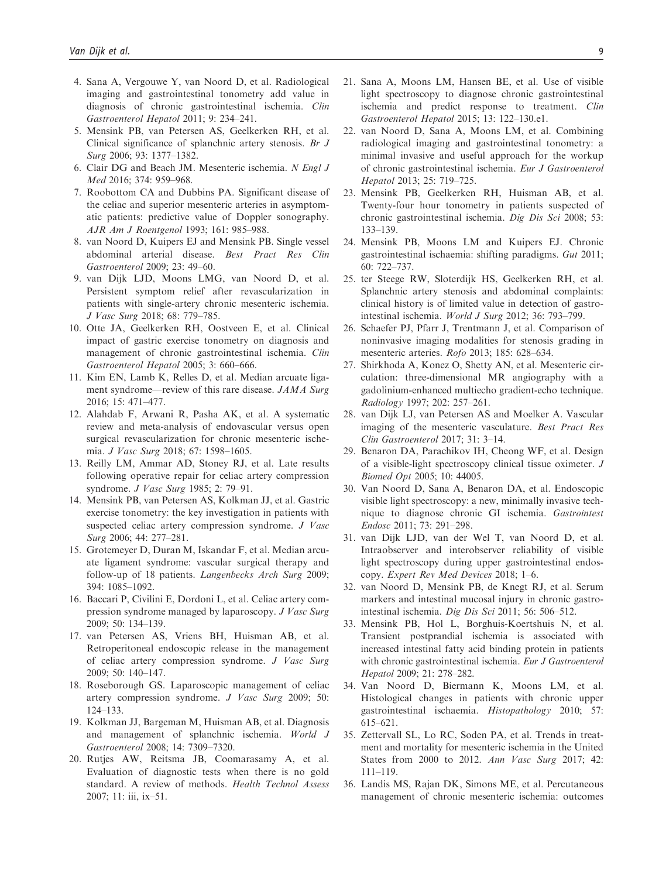- 4. Sana A, Vergouwe Y, van Noord D, et al. Radiological imaging and gastrointestinal tonometry add value in diagnosis of chronic gastrointestinal ischemia. Clin Gastroenterol Hepatol 2011; 9: 234–241.
- 5. Mensink PB, van Petersen AS, Geelkerken RH, et al. Clinical significance of splanchnic artery stenosis. Br J Surg 2006; 93: 1377–1382.
- 6. Clair DG and Beach JM. Mesenteric ischemia. N Engl J Med 2016; 374: 959–968.
- 7. Roobottom CA and Dubbins PA. Significant disease of the celiac and superior mesenteric arteries in asymptomatic patients: predictive value of Doppler sonography. AJR Am J Roentgenol 1993; 161: 985–988.
- 8. van Noord D, Kuipers EJ and Mensink PB. Single vessel abdominal arterial disease. Best Pract Res Clin Gastroenterol 2009; 23: 49–60.
- 9. van Dijk LJD, Moons LMG, van Noord D, et al. Persistent symptom relief after revascularization in patients with single-artery chronic mesenteric ischemia. J Vasc Surg 2018; 68: 779–785.
- 10. Otte JA, Geelkerken RH, Oostveen E, et al. Clinical impact of gastric exercise tonometry on diagnosis and management of chronic gastrointestinal ischemia. Clin Gastroenterol Hepatol 2005; 3: 660–666.
- 11. Kim EN, Lamb K, Relles D, et al. Median arcuate ligament syndrome—review of this rare disease. JAMA Surg 2016; 15: 471–477.
- 12. Alahdab F, Arwani R, Pasha AK, et al. A systematic review and meta-analysis of endovascular versus open surgical revascularization for chronic mesenteric ischemia. J Vasc Surg 2018; 67: 1598–1605.
- 13. Reilly LM, Ammar AD, Stoney RJ, et al. Late results following operative repair for celiac artery compression syndrome. J Vasc Surg 1985; 2: 79–91.
- 14. Mensink PB, van Petersen AS, Kolkman JJ, et al. Gastric exercise tonometry: the key investigation in patients with suspected celiac artery compression syndrome. *J Vasc* Surg 2006; 44: 277–281.
- 15. Grotemeyer D, Duran M, Iskandar F, et al. Median arcuate ligament syndrome: vascular surgical therapy and follow-up of 18 patients. Langenbecks Arch Surg 2009; 394: 1085–1092.
- 16. Baccari P, Civilini E, Dordoni L, et al. Celiac artery compression syndrome managed by laparoscopy. J Vasc Surg 2009; 50: 134–139.
- 17. van Petersen AS, Vriens BH, Huisman AB, et al. Retroperitoneal endoscopic release in the management of celiac artery compression syndrome. J Vasc Surg 2009; 50: 140–147.
- 18. Roseborough GS. Laparoscopic management of celiac artery compression syndrome. J Vasc Surg 2009; 50: 124–133.
- 19. Kolkman JJ, Bargeman M, Huisman AB, et al. Diagnosis and management of splanchnic ischemia. World J Gastroenterol 2008; 14: 7309–7320.
- 20. Rutjes AW, Reitsma JB, Coomarasamy A, et al. Evaluation of diagnostic tests when there is no gold standard. A review of methods. Health Technol Assess 2007; 11: iii, ix–51.
- 21. Sana A, Moons LM, Hansen BE, et al. Use of visible light spectroscopy to diagnose chronic gastrointestinal ischemia and predict response to treatment. Clin Gastroenterol Hepatol 2015; 13: 122–130.e1.
- 22. van Noord D, Sana A, Moons LM, et al. Combining radiological imaging and gastrointestinal tonometry: a minimal invasive and useful approach for the workup of chronic gastrointestinal ischemia. Eur J Gastroenterol Hepatol 2013; 25: 719–725.
- 23. Mensink PB, Geelkerken RH, Huisman AB, et al. Twenty-four hour tonometry in patients suspected of chronic gastrointestinal ischemia. Dig Dis Sci 2008; 53: 133–139.
- 24. Mensink PB, Moons LM and Kuipers EJ. Chronic gastrointestinal ischaemia: shifting paradigms. Gut 2011; 60: 722–737.
- 25. ter Steege RW, Sloterdijk HS, Geelkerken RH, et al. Splanchnic artery stenosis and abdominal complaints: clinical history is of limited value in detection of gastrointestinal ischemia. World J Surg 2012; 36: 793–799.
- 26. Schaefer PJ, Pfarr J, Trentmann J, et al. Comparison of noninvasive imaging modalities for stenosis grading in mesenteric arteries. Rofo 2013; 185: 628–634.
- 27. Shirkhoda A, Konez O, Shetty AN, et al. Mesenteric circulation: three-dimensional MR angiography with a gadolinium-enhanced multiecho gradient-echo technique. Radiology 1997; 202: 257–261.
- 28. van Dijk LJ, van Petersen AS and Moelker A. Vascular imaging of the mesenteric vasculature. Best Pract Res Clin Gastroenterol 2017; 31: 3–14.
- 29. Benaron DA, Parachikov IH, Cheong WF, et al. Design of a visible-light spectroscopy clinical tissue oximeter. J Biomed Opt 2005; 10: 44005.
- 30. Van Noord D, Sana A, Benaron DA, et al. Endoscopic visible light spectroscopy: a new, minimally invasive technique to diagnose chronic GI ischemia. Gastrointest Endosc 2011; 73: 291–298.
- 31. van Dijk LJD, van der Wel T, van Noord D, et al. Intraobserver and interobserver reliability of visible light spectroscopy during upper gastrointestinal endoscopy. Expert Rev Med Devices 2018; 1–6.
- 32. van Noord D, Mensink PB, de Knegt RJ, et al. Serum markers and intestinal mucosal injury in chronic gastrointestinal ischemia. Dig Dis Sci 2011; 56: 506–512.
- 33. Mensink PB, Hol L, Borghuis-Koertshuis N, et al. Transient postprandial ischemia is associated with increased intestinal fatty acid binding protein in patients with chronic gastrointestinal ischemia. Eur J Gastroenterol Hepatol 2009; 21: 278–282.
- 34. Van Noord D, Biermann K, Moons LM, et al. Histological changes in patients with chronic upper gastrointestinal ischaemia. Histopathology 2010; 57: 615–621.
- 35. Zettervall SL, Lo RC, Soden PA, et al. Trends in treatment and mortality for mesenteric ischemia in the United States from 2000 to 2012. Ann Vasc Surg 2017; 42: 111–119.
- 36. Landis MS, Rajan DK, Simons ME, et al. Percutaneous management of chronic mesenteric ischemia: outcomes